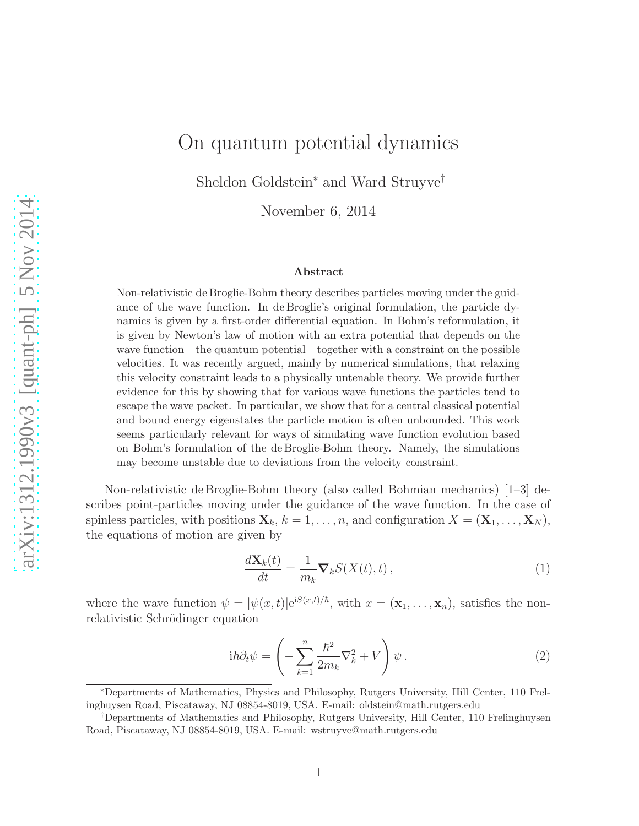## On quantum potential dynamics

Sheldon Goldstein<sup>∗</sup> and Ward Struyve†

November 6, 2014

## Abstract

Non-relativistic de Broglie-Bohm theory describes particles moving under the guidance of the wave function. In de Broglie's original formulation, the particle dynamics is given by a first-order differential equation. In Bohm's reformulation, it is given by Newton's law of motion with an extra potential that depends on the wave function—the quantum potential—together with a constraint on the possible velocities. It was recently argued, mainly by numerical simulations, that relaxing this velocity constraint leads to a physically untenable theory. We provide further evidence for this by showing that for various wave functions the particles tend to escape the wave packet. In particular, we show that for a central classical potential and bound energy eigenstates the particle motion is often unbounded. This work seems particularly relevant for ways of simulating wave function evolution based on Bohm's formulation of the de Broglie-Bohm theory. Namely, the simulations may become unstable due to deviations from the velocity constraint.

Non-relativistic de Broglie-Bohm theory (also called Bohmian mechanics) [1–3] describes point-particles moving under the guidance of the wave function. In the case of spinless particles, with positions  $\mathbf{X}_k$ ,  $k = 1, \ldots, n$ , and configuration  $X = (\mathbf{X}_1, \ldots, \mathbf{X}_N)$ , the equations of motion are given by

$$
\frac{d\mathbf{X}_k(t)}{dt} = \frac{1}{m_k} \mathbf{\nabla}_k S(X(t), t) \,, \tag{1}
$$

where the wave function  $\psi = |\psi(x,t)| e^{iS(x,t)/\hbar}$ , with  $x = (\mathbf{x}_1, \dots, \mathbf{x}_n)$ , satisfies the nonrelativistic Schrödinger equation

$$
i\hbar \partial_t \psi = \left( -\sum_{k=1}^n \frac{\hbar^2}{2m_k} \nabla_k^2 + V \right) \psi.
$$
 (2)

<sup>∗</sup>Departments of Mathematics, Physics and Philosophy, Rutgers University, Hill Center, 110 Frelinghuysen Road, Piscataway, NJ 08854-8019, USA. E-mail: oldstein@math.rutgers.edu

<sup>†</sup>Departments of Mathematics and Philosophy, Rutgers University, Hill Center, 110 Frelinghuysen Road, Piscataway, NJ 08854-8019, USA. E-mail: wstruyve@math.rutgers.edu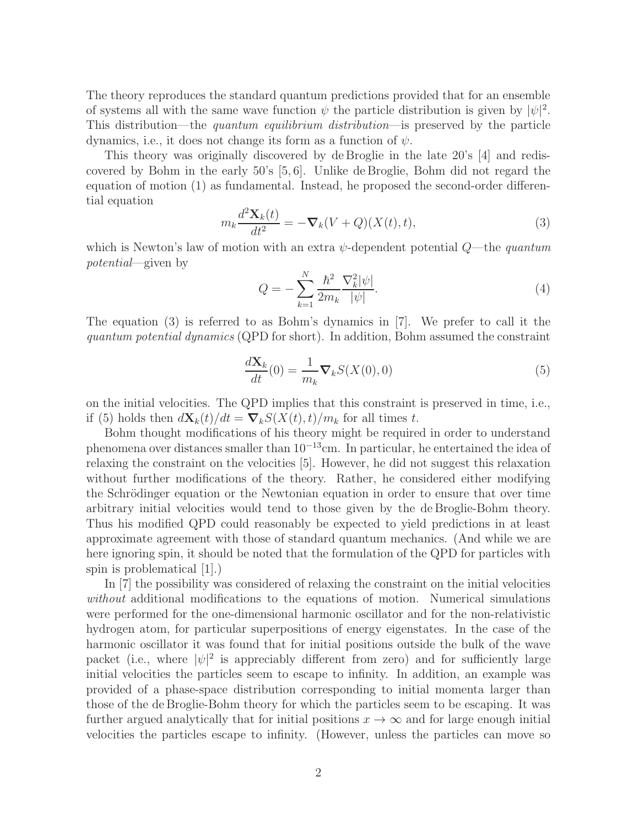The theory reproduces the standard quantum predictions provided that for an ensemble of systems all with the same wave function  $\psi$  the particle distribution is given by  $|\psi|^2$ . This distribution—the quantum equilibrium distribution—is preserved by the particle dynamics, i.e., it does not change its form as a function of  $\psi$ .

This theory was originally discovered by de Broglie in the late 20's [4] and rediscovered by Bohm in the early 50's [5, 6]. Unlike de Broglie, Bohm did not regard the equation of motion (1) as fundamental. Instead, he proposed the second-order differential equation

$$
m_k \frac{d^2 \mathbf{X}_k(t)}{dt^2} = -\nabla_k (V + Q)(X(t), t), \tag{3}
$$

which is Newton's law of motion with an extra  $\psi$ -dependent potential  $Q$ —the *quantum* potential—given by

$$
Q = -\sum_{k=1}^{N} \frac{\hbar^2}{2m_k} \frac{\nabla_k^2 |\psi|}{|\psi|}.
$$
 (4)

The equation (3) is referred to as Bohm's dynamics in [7]. We prefer to call it the quantum potential dynamics (QPD for short). In addition, Bohm assumed the constraint

$$
\frac{d\mathbf{X}_k}{dt}(0) = \frac{1}{m_k} \nabla_k S(X(0), 0)
$$
\n(5)

on the initial velocities. The QPD implies that this constraint is preserved in time, i.e., if (5) holds then  $d\mathbf{X}_k(t)/dt = \nabla_k S(X(t), t)/m_k$  for all times t.

Bohm thought modifications of his theory might be required in order to understand phenomena over distances smaller than 10<sup>−</sup><sup>13</sup>cm. In particular, he entertained the idea of relaxing the constraint on the velocities [5]. However, he did not suggest this relaxation without further modifications of the theory. Rather, he considered either modifying the Schrödinger equation or the Newtonian equation in order to ensure that over time arbitrary initial velocities would tend to those given by the de Broglie-Bohm theory. Thus his modified QPD could reasonably be expected to yield predictions in at least approximate agreement with those of standard quantum mechanics. (And while we are here ignoring spin, it should be noted that the formulation of the QPD for particles with spin is problematical [1].)

In [7] the possibility was considered of relaxing the constraint on the initial velocities without additional modifications to the equations of motion. Numerical simulations were performed for the one-dimensional harmonic oscillator and for the non-relativistic hydrogen atom, for particular superpositions of energy eigenstates. In the case of the harmonic oscillator it was found that for initial positions outside the bulk of the wave packet (i.e., where  $|\psi|^2$  is appreciably different from zero) and for sufficiently large initial velocities the particles seem to escape to infinity. In addition, an example was provided of a phase-space distribution corresponding to initial momenta larger than those of the de Broglie-Bohm theory for which the particles seem to be escaping. It was further argued analytically that for initial positions  $x \to \infty$  and for large enough initial velocities the particles escape to infinity. (However, unless the particles can move so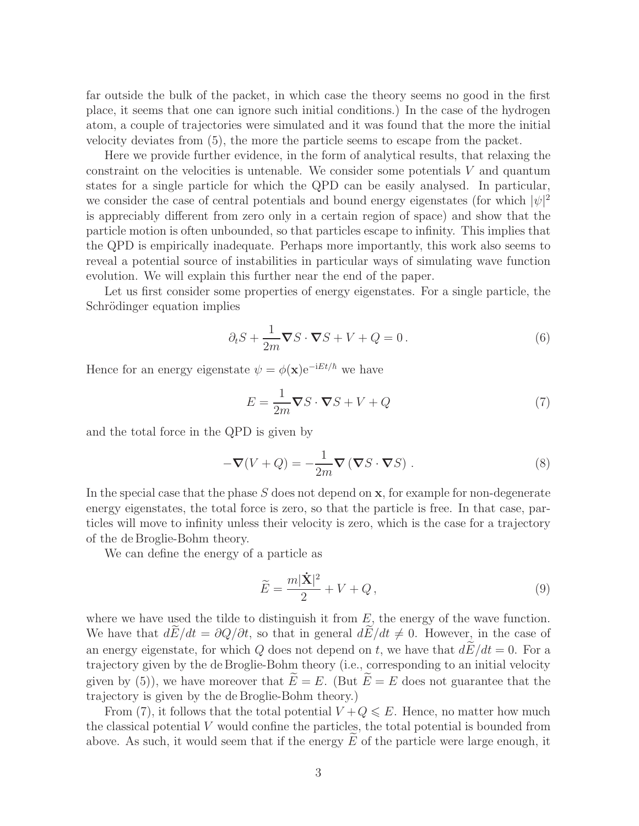far outside the bulk of the packet, in which case the theory seems no good in the first place, it seems that one can ignore such initial conditions.) In the case of the hydrogen atom, a couple of trajectories were simulated and it was found that the more the initial velocity deviates from (5), the more the particle seems to escape from the packet.

Here we provide further evidence, in the form of analytical results, that relaxing the constraint on the velocities is untenable. We consider some potentials  $V$  and quantum states for a single particle for which the QPD can be easily analysed. In particular, we consider the case of central potentials and bound energy eigenstates (for which  $|\psi|^2$ is appreciably different from zero only in a certain region of space) and show that the particle motion is often unbounded, so that particles escape to infinity. This implies that the QPD is empirically inadequate. Perhaps more importantly, this work also seems to reveal a potential source of instabilities in particular ways of simulating wave function evolution. We will explain this further near the end of the paper.

Let us first consider some properties of energy eigenstates. For a single particle, the Schrödinger equation implies

$$
\partial_t S + \frac{1}{2m} \nabla S \cdot \nabla S + V + Q = 0.
$$
 (6)

Hence for an energy eigenstate  $\psi = \phi(\mathbf{x})e^{-iEt/\hbar}$  we have

$$
E = \frac{1}{2m} \nabla S \cdot \nabla S + V + Q \tag{7}
$$

and the total force in the QPD is given by

$$
-\nabla(V+Q) = -\frac{1}{2m}\nabla(\nabla S \cdot \nabla S).
$$
 (8)

In the special case that the phase  $S$  does not depend on  $x$ , for example for non-degenerate energy eigenstates, the total force is zero, so that the particle is free. In that case, particles will move to infinity unless their velocity is zero, which is the case for a trajectory of the de Broglie-Bohm theory.

We can define the energy of a particle as

$$
\widetilde{E} = \frac{m|\dot{\mathbf{X}}|^2}{2} + V + Q,\tag{9}
$$

where we have used the tilde to distinguish it from  $E$ , the energy of the wave function. We have that  $d\tilde{E}/dt = \partial Q/\partial t$ , so that in general  $d\tilde{E}/dt \neq 0$ . However, in the case of an energy eigenstate, for which Q does not depend on t, we have that  $d\widetilde{E}/dt = 0$ . For a trajectory given by the de Broglie-Bohm theory (i.e., corresponding to an initial velocity given by (5)), we have moreover that  $E = E$ . (But  $E = E$  does not guarantee that the trajectory is given by the de Broglie-Bohm theory.)

From (7), it follows that the total potential  $V + Q \leqslant E$ . Hence, no matter how much the classical potential  $V$  would confine the particles, the total potential is bounded from above. As such, it would seem that if the energy  $E$  of the particle were large enough, it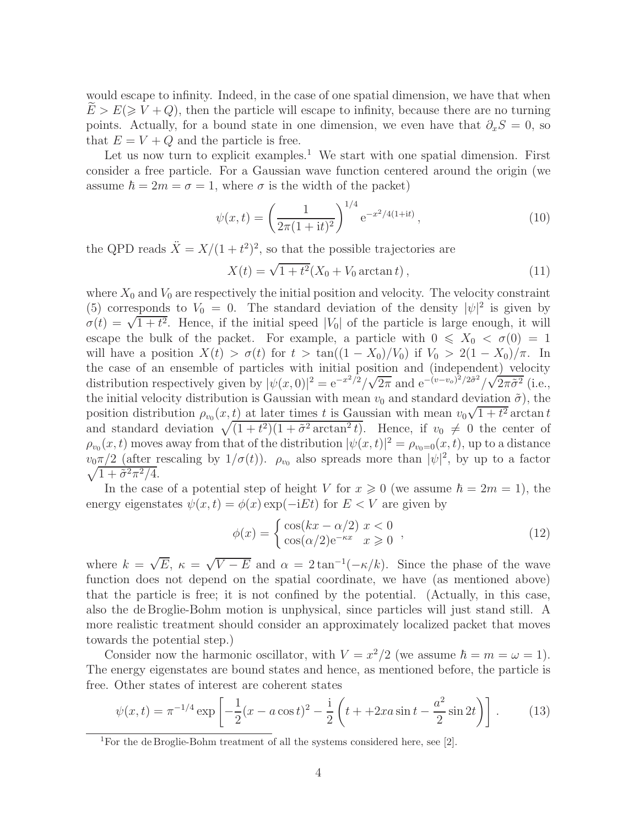would escape to infinity. Indeed, in the case of one spatial dimension, we have that when  $E > E \geq V + Q$ , then the particle will escape to infinity, because there are no turning points. Actually, for a bound state in one dimension, we even have that  $\partial_x S = 0$ , so that  $E = V + Q$  and the particle is free.

Let us now turn to explicit examples.<sup>1</sup> We start with one spatial dimension. First consider a free particle. For a Gaussian wave function centered around the origin (we assume  $\hbar = 2m = \sigma = 1$ , where  $\sigma$  is the width of the packet)

$$
\psi(x,t) = \left(\frac{1}{2\pi(1+it)^2}\right)^{1/4} e^{-x^2/4(1+it)},\tag{10}
$$

the QPD reads  $\ddot{X} = X/(1 + t^2)^2$ , so that the possible trajectories are

$$
X(t) = \sqrt{1 + t^2} (X_0 + V_0 \arctan t), \qquad (11)
$$

where  $X_0$  and  $V_0$  are respectively the initial position and velocity. The velocity constraint (5) corresponds to  $V_0 = 0$ . The standard deviation of the density  $|\psi|^2$  is given by  $\sigma(t) = \sqrt{1+t^2}$ . Hence, if the initial speed |V<sub>0</sub>| of the particle is large enough, it will escape the bulk of the packet. For example, a particle with  $0 \leq X_0 < \sigma(0) = 1$ will have a position  $X(t) > \sigma(t)$  for  $t > \tan((1 - X_0)/V_0)$  if  $V_0 > 2(1 - X_0)/\pi$ . In the case of an ensemble of particles with initial position and (independent) velocity distribution respectively given by  $|\psi(x,0)|^2 = e^{-x^2/2}/\sqrt{2\pi}$  and  $e^{-(v-v_0)^2/2\tilde{\sigma}^2}/\sqrt{2\pi\tilde{\sigma}^2}$  (i.e., the initial velocity distribution is Gaussian with mean  $v_0$  and standard deviation  $\tilde{\sigma}$ ), the position distribution  $\rho_{v_0}(x,t)$  at later times t is Gaussian with mean  $v_0\sqrt{1+t^2}$  arctan t and standard deviation  $\sqrt{(1 + t^2)(1 + \tilde{\sigma}^2 \arctan^2 t)}$ . Hence, if  $v_0 \neq 0$  the center of  $\rho_{v_0}(x,t)$  moves away from that of the distribution  $|\psi(x,t)|^2 = \rho_{v_0=0}(x,t)$ , up to a distance  $v_0 \pi/2$  (after rescaling by  $1/\sigma(t)$ ).  $\rho_{v_0}$  also spreads more than  $|\psi|^2$ , by up to a factor  $\sqrt{1+\tilde{\sigma}^2\pi^2/4}.$ 

In the case of a potential step of height V for  $x \ge 0$  (we assume  $\hbar = 2m = 1$ ), the energy eigenstates  $\psi(x,t) = \phi(x) \exp(-iEt)$  for  $E < V$  are given by

$$
\phi(x) = \begin{cases} \cos(kx - \alpha/2) & x < 0 \\ \cos(\alpha/2) e^{-\kappa x} & x \ge 0 \end{cases},
$$
\n(12)

where  $k = \sqrt{E}$ ,  $\kappa = \sqrt{V - E}$  and  $\alpha = 2 \tan^{-1}(-\kappa/k)$ . Since the phase of the wave function does not depend on the spatial coordinate, we have (as mentioned above) that the particle is free; it is not confined by the potential. (Actually, in this case, also the de Broglie-Bohm motion is unphysical, since particles will just stand still. A more realistic treatment should consider an approximately localized packet that moves towards the potential step.)

Consider now the harmonic oscillator, with  $V = x^2/2$  (we assume  $\hbar = m = \omega = 1$ ). The energy eigenstates are bound states and hence, as mentioned before, the particle is free. Other states of interest are coherent states

$$
\psi(x,t) = \pi^{-1/4} \exp\left[ -\frac{1}{2}(x - a\cos t)^2 - \frac{1}{2}\left( t + 2xa\sin t - \frac{a^2}{2}\sin 2t \right) \right].
$$
 (13)

<sup>&</sup>lt;sup>1</sup>For the de Broglie-Bohm treatment of all the systems considered here, see [2].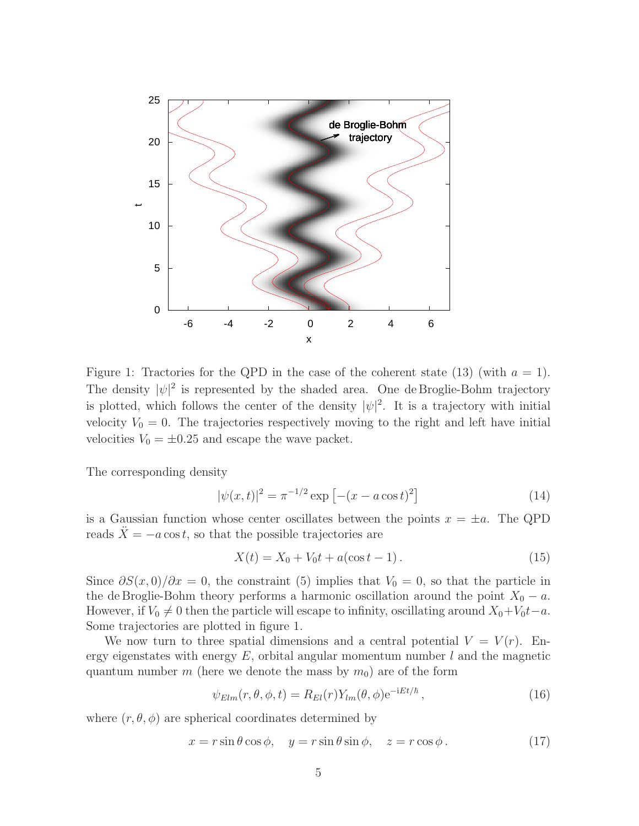

Figure 1: Tractories for the QPD in the case of the coherent state (13) (with  $a = 1$ ). The density  $|\psi|^2$  is represented by the shaded area. One de Broglie-Bohm trajectory is plotted, which follows the center of the density  $|\psi|^2$ . It is a trajectory with initial velocity  $V_0 = 0$ . The trajectories respectively moving to the right and left have initial velocities  $V_0 = \pm 0.25$  and escape the wave packet.

The corresponding density

$$
|\psi(x,t)|^2 = \pi^{-1/2} \exp\left[-(x - a\cos t)^2\right]
$$
 (14)

is a Gaussian function whose center oscillates between the points  $x = \pm a$ . The QPD reads  $\ddot{X} = -a \cos t$ , so that the possible trajectories are

$$
X(t) = X_0 + V_0 t + a(\cos t - 1).
$$
 (15)

Since  $\partial S(x,0)/\partial x = 0$ , the constraint (5) implies that  $V_0 = 0$ , so that the particle in the de Broglie-Bohm theory performs a harmonic oscillation around the point  $X_0 - a$ . However, if  $V_0 \neq 0$  then the particle will escape to infinity, oscillating around  $X_0 + V_0t - a$ . Some trajectories are plotted in figure 1.

We now turn to three spatial dimensions and a central potential  $V = V(r)$ . Energy eigenstates with energy  $E$ , orbital angular momentum number l and the magnetic quantum number m (here we denote the mass by  $m_0$ ) are of the form

$$
\psi_{Elm}(r,\theta,\phi,t) = R_{El}(r)Y_{lm}(\theta,\phi)e^{-iEt/\hbar}, \qquad (16)
$$

where  $(r, \theta, \phi)$  are spherical coordinates determined by

$$
x = r\sin\theta\cos\phi, \quad y = r\sin\theta\sin\phi, \quad z = r\cos\phi. \tag{17}
$$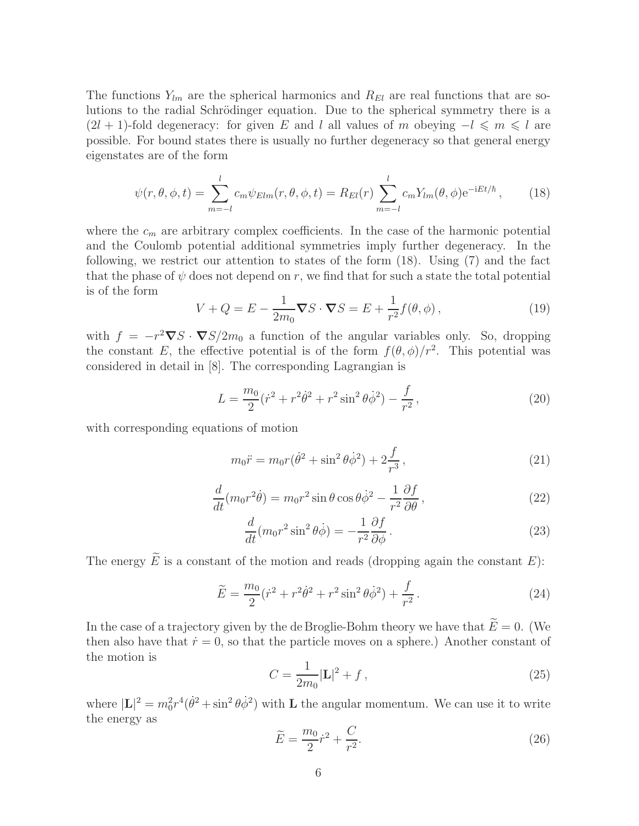The functions  $Y_{lm}$  are the spherical harmonics and  $R_{El}$  are real functions that are solutions to the radial Schrödinger equation. Due to the spherical symmetry there is a  $(2l + 1)$ -fold degeneracy: for given E and l all values of m obeying  $-l \le m \le l$  are possible. For bound states there is usually no further degeneracy so that general energy eigenstates are of the form

$$
\psi(r,\theta,\phi,t) = \sum_{m=-l}^{l} c_m \psi_{Elm}(r,\theta,\phi,t) = R_{El}(r) \sum_{m=-l}^{l} c_m Y_{lm}(\theta,\phi) e^{-iEt/\hbar}, \qquad (18)
$$

where the  $c_m$  are arbitrary complex coefficients. In the case of the harmonic potential and the Coulomb potential additional symmetries imply further degeneracy. In the following, we restrict our attention to states of the form (18). Using (7) and the fact that the phase of  $\psi$  does not depend on r, we find that for such a state the total potential is of the form

$$
V + Q = E - \frac{1}{2m_0} \nabla S \cdot \nabla S = E + \frac{1}{r^2} f(\theta, \phi), \qquad (19)
$$

with  $f = -r^2 \nabla S \cdot \nabla S / 2m_0$  a function of the angular variables only. So, dropping the constant E, the effective potential is of the form  $f(\theta, \phi)/r^2$ . This potential was considered in detail in [8]. The corresponding Lagrangian is

$$
L = \frac{m_0}{2} (\dot{r}^2 + r^2 \dot{\theta}^2 + r^2 \sin^2 \theta \dot{\phi}^2) - \frac{f}{r^2},
$$
\n(20)

with corresponding equations of motion

$$
m_0 \ddot{r} = m_0 r (\dot{\theta}^2 + \sin^2 \theta \dot{\phi}^2) + 2 \frac{f}{r^3}, \qquad (21)
$$

$$
\frac{d}{dt}(m_0 r^2 \dot{\theta}) = m_0 r^2 \sin \theta \cos \theta \dot{\phi}^2 - \frac{1}{r^2} \frac{\partial f}{\partial \theta},\qquad(22)
$$

$$
\frac{d}{dt}(m_0 r^2 \sin^2 \theta \dot{\phi}) = -\frac{1}{r^2} \frac{\partial f}{\partial \phi}.
$$
\n(23)

The energy  $\widetilde{E}$  is a constant of the motion and reads (dropping again the constant E):

$$
\widetilde{E} = \frac{m_0}{2} (\dot{r}^2 + r^2 \dot{\theta}^2 + r^2 \sin^2 \theta \dot{\phi}^2) + \frac{f}{r^2}.
$$
\n(24)

In the case of a trajectory given by the de Broglie-Bohm theory we have that  $\widetilde{E}=0$ . (We then also have that  $\dot{r} = 0$ , so that the particle moves on a sphere.) Another constant of the motion is

$$
C = \frac{1}{2m_0} |\mathbf{L}|^2 + f \,, \tag{25}
$$

where  $|\mathbf{L}|^2 = m_0^2 r^4 (\dot{\theta}^2 + \sin^2 \theta \dot{\phi}^2)$  with **L** the angular momentum. We can use it to write the energy as

$$
\widetilde{E} = \frac{m_0}{2}\dot{r}^2 + \frac{C}{r^2}.\tag{26}
$$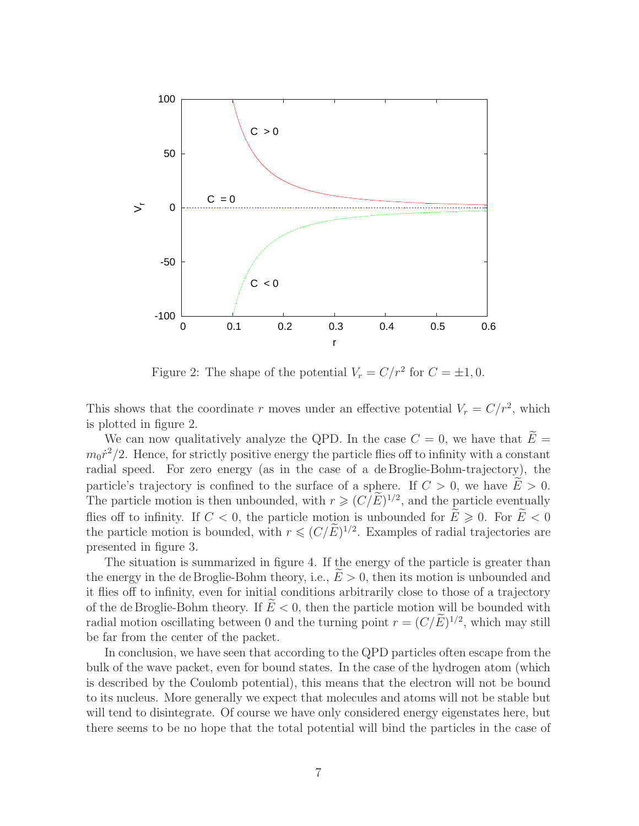

Figure 2: The shape of the potential  $V_r = C/r^2$  for  $C = \pm 1, 0$ .

This shows that the coordinate r moves under an effective potential  $V_r = C/r^2$ , which is plotted in figure 2.

We can now qualitatively analyze the QPD. In the case  $C = 0$ , we have that  $E =$  $m_0 \dot{r}^2/2$ . Hence, for strictly positive energy the particle flies off to infinity with a constant radial speed. For zero energy (as in the case of a de Broglie-Bohm-trajectory), the particle's trajectory is confined to the surface of a sphere. If  $C > 0$ , we have  $E > 0$ . The particle motion is then unbounded, with  $r \geqslant (C/E)^{1/2}$ , and the particle eventually flies off to infinity. If  $C < 0$ , the particle motion is unbounded for  $\widetilde{E} \ge 0$ . For  $\widetilde{E} < 0$ the particle motion is bounded, with  $r \leq (C/E)^{1/2}$ . Examples of radial trajectories are presented in figure 3.

The situation is summarized in figure 4. If the energy of the particle is greater than the energy in the de Broglie-Bohm theory, i.e.,  $E > 0$ , then its motion is unbounded and it flies off to infinity, even for initial conditions arbitrarily close to those of a trajectory of the de Broglie-Bohm theory. If  $E < 0$ , then the particle motion will be bounded with radial motion oscillating between 0 and the turning point  $r = (C/E)^{1/2}$ , which may still be far from the center of the packet.

In conclusion, we have seen that according to the QPD particles often escape from the bulk of the wave packet, even for bound states. In the case of the hydrogen atom (which is described by the Coulomb potential), this means that the electron will not be bound to its nucleus. More generally we expect that molecules and atoms will not be stable but will tend to disintegrate. Of course we have only considered energy eigenstates here, but there seems to be no hope that the total potential will bind the particles in the case of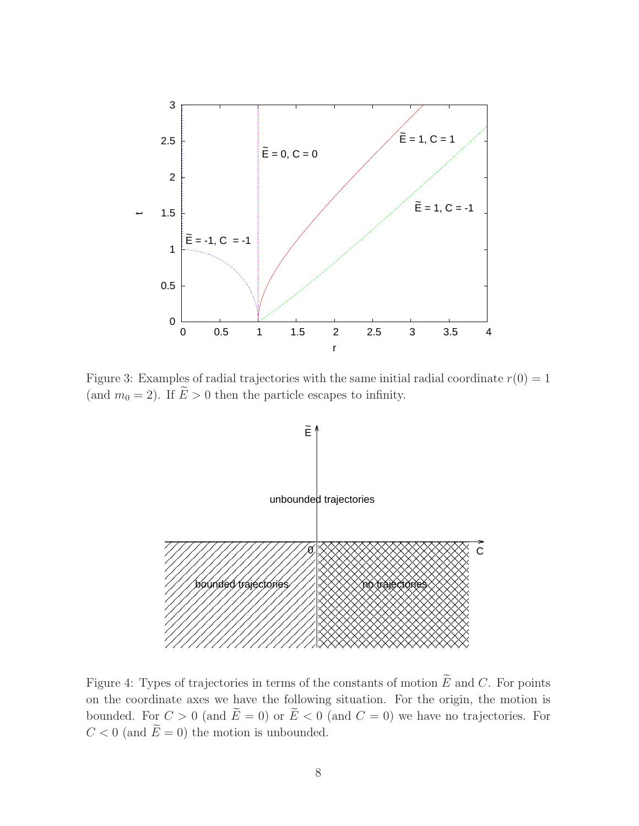

Figure 3: Examples of radial trajectories with the same initial radial coordinate  $r(0) = 1$ (and  $m_0 = 2$ ). If  $\widetilde{E} > 0$  then the particle escapes to infinity.



Figure 4: Types of trajectories in terms of the constants of motion  $\widetilde{E}$  and C. For points on the coordinate axes we have the following situation. For the origin, the motion is bounded. For  $C > 0$  (and  $\widetilde{E} = 0$ ) or  $\widetilde{E} < 0$  (and  $C = 0$ ) we have no trajectories. For  $C < 0$  (and  $\widetilde{E} = 0$ ) the motion is unbounded.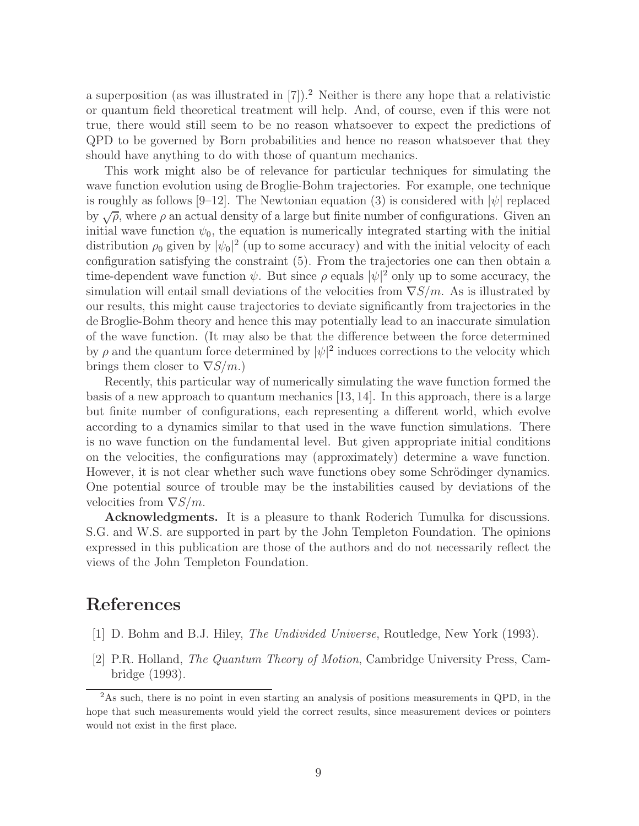a superposition (as was illustrated in  $[7]$ ).<sup>2</sup> Neither is there any hope that a relativistic or quantum field theoretical treatment will help. And, of course, even if this were not true, there would still seem to be no reason whatsoever to expect the predictions of QPD to be governed by Born probabilities and hence no reason whatsoever that they should have anything to do with those of quantum mechanics.

This work might also be of relevance for particular techniques for simulating the wave function evolution using de Broglie-Bohm trajectories. For example, one technique is roughly as follows [9–12]. The Newtonian equation (3) is considered with  $|\psi|$  replaced by  $\sqrt{\rho}$ , where  $\rho$  an actual density of a large but finite number of configurations. Given an initial wave function  $\psi_0$ , the equation is numerically integrated starting with the initial distribution  $\rho_0$  given by  $|\psi_0|^2$  (up to some accuracy) and with the initial velocity of each configuration satisfying the constraint (5). From the trajectories one can then obtain a time-dependent wave function  $\psi$ . But since  $\rho$  equals  $|\psi|^2$  only up to some accuracy, the simulation will entail small deviations of the velocities from  $\nabla S/m$ . As is illustrated by our results, this might cause trajectories to deviate significantly from trajectories in the de Broglie-Bohm theory and hence this may potentially lead to an inaccurate simulation of the wave function. (It may also be that the difference between the force determined by  $\rho$  and the quantum force determined by  $|\psi|^2$  induces corrections to the velocity which brings them closer to  $\nabla S/m$ .)

Recently, this particular way of numerically simulating the wave function formed the basis of a new approach to quantum mechanics [13, 14]. In this approach, there is a large but finite number of configurations, each representing a different world, which evolve according to a dynamics similar to that used in the wave function simulations. There is no wave function on the fundamental level. But given appropriate initial conditions on the velocities, the configurations may (approximately) determine a wave function. However, it is not clear whether such wave functions obey some Schrödinger dynamics. One potential source of trouble may be the instabilities caused by deviations of the velocities from  $\nabla S/m$ .

Acknowledgments. It is a pleasure to thank Roderich Tumulka for discussions. S.G. and W.S. are supported in part by the John Templeton Foundation. The opinions expressed in this publication are those of the authors and do not necessarily reflect the views of the John Templeton Foundation.

## References

- [1] D. Bohm and B.J. Hiley, The Undivided Universe, Routledge, New York (1993).
- [2] P.R. Holland, The Quantum Theory of Motion, Cambridge University Press, Cambridge (1993).

<sup>2</sup>As such, there is no point in even starting an analysis of positions measurements in QPD, in the hope that such measurements would yield the correct results, since measurement devices or pointers would not exist in the first place.